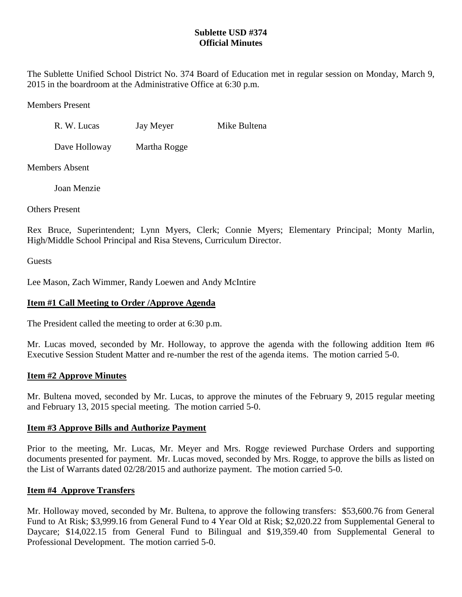# **Sublette USD #374 Official Minutes**

The Sublette Unified School District No. 374 Board of Education met in regular session on Monday, March 9, 2015 in the boardroom at the Administrative Office at 6:30 p.m.

Members Present

R. W. Lucas Jay Meyer Mike Bultena

Dave Holloway Martha Rogge

Members Absent

Joan Menzie

Others Present

Rex Bruce, Superintendent; Lynn Myers, Clerk; Connie Myers; Elementary Principal; Monty Marlin, High/Middle School Principal and Risa Stevens, Curriculum Director.

**Guests** 

Lee Mason, Zach Wimmer, Randy Loewen and Andy McIntire

# **Item #1 Call Meeting to Order /Approve Agenda**

The President called the meeting to order at 6:30 p.m.

Mr. Lucas moved, seconded by Mr. Holloway, to approve the agenda with the following addition Item #6 Executive Session Student Matter and re-number the rest of the agenda items. The motion carried 5-0.

# **Item #2 Approve Minutes**

Mr. Bultena moved, seconded by Mr. Lucas, to approve the minutes of the February 9, 2015 regular meeting and February 13, 2015 special meeting. The motion carried 5-0.

# **Item #3 Approve Bills and Authorize Payment**

Prior to the meeting, Mr. Lucas, Mr. Meyer and Mrs. Rogge reviewed Purchase Orders and supporting documents presented for payment. Mr. Lucas moved, seconded by Mrs. Rogge, to approve the bills as listed on the List of Warrants dated 02/28/2015 and authorize payment. The motion carried 5-0.

# **Item #4 Approve Transfers**

Mr. Holloway moved, seconded by Mr. Bultena, to approve the following transfers: \$53,600.76 from General Fund to At Risk; \$3,999.16 from General Fund to 4 Year Old at Risk; \$2,020.22 from Supplemental General to Daycare; \$14,022.15 from General Fund to Bilingual and \$19,359.40 from Supplemental General to Professional Development. The motion carried 5-0.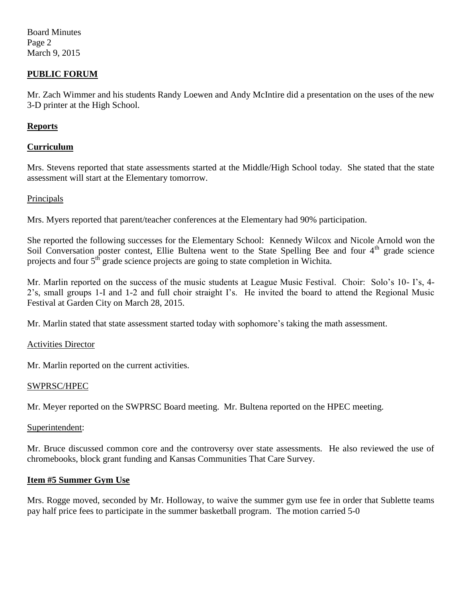Board Minutes Page 2 March 9, 2015

## **PUBLIC FORUM**

Mr. Zach Wimmer and his students Randy Loewen and Andy McIntire did a presentation on the uses of the new 3-D printer at the High School.

## **Reports**

## **Curriculum**

Mrs. Stevens reported that state assessments started at the Middle/High School today. She stated that the state assessment will start at the Elementary tomorrow.

### Principals

Mrs. Myers reported that parent/teacher conferences at the Elementary had 90% participation.

She reported the following successes for the Elementary School: Kennedy Wilcox and Nicole Arnold won the Soil Conversation poster contest, Ellie Bultena went to the State Spelling Bee and four 4<sup>th</sup> grade science projects and four  $5<sup>th</sup>$  grade science projects are going to state completion in Wichita.

Mr. Marlin reported on the success of the music students at League Music Festival. Choir: Solo's 10- I's, 4- 2's, small groups 1-I and 1-2 and full choir straight I's. He invited the board to attend the Regional Music Festival at Garden City on March 28, 2015.

Mr. Marlin stated that state assessment started today with sophomore's taking the math assessment.

#### Activities Director

Mr. Marlin reported on the current activities.

#### SWPRSC/HPEC

Mr. Meyer reported on the SWPRSC Board meeting. Mr. Bultena reported on the HPEC meeting.

#### Superintendent:

Mr. Bruce discussed common core and the controversy over state assessments. He also reviewed the use of chromebooks, block grant funding and Kansas Communities That Care Survey.

#### **Item #5 Summer Gym Use**

Mrs. Rogge moved, seconded by Mr. Holloway, to waive the summer gym use fee in order that Sublette teams pay half price fees to participate in the summer basketball program. The motion carried 5-0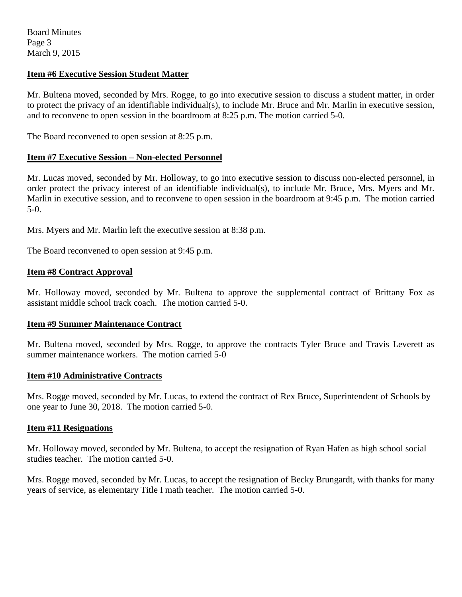Board Minutes Page 3 March 9, 2015

## **Item #6 Executive Session Student Matter**

Mr. Bultena moved, seconded by Mrs. Rogge, to go into executive session to discuss a student matter, in order to protect the privacy of an identifiable individual(s), to include Mr. Bruce and Mr. Marlin in executive session, and to reconvene to open session in the boardroom at 8:25 p.m. The motion carried 5-0.

The Board reconvened to open session at 8:25 p.m.

## **Item #7 Executive Session – Non-elected Personnel**

Mr. Lucas moved, seconded by Mr. Holloway, to go into executive session to discuss non-elected personnel, in order protect the privacy interest of an identifiable individual(s), to include Mr. Bruce, Mrs. Myers and Mr. Marlin in executive session, and to reconvene to open session in the boardroom at 9:45 p.m. The motion carried 5-0.

Mrs. Myers and Mr. Marlin left the executive session at 8:38 p.m.

The Board reconvened to open session at 9:45 p.m.

## **Item #8 Contract Approval**

Mr. Holloway moved, seconded by Mr. Bultena to approve the supplemental contract of Brittany Fox as assistant middle school track coach. The motion carried 5-0.

## **Item #9 Summer Maintenance Contract**

Mr. Bultena moved, seconded by Mrs. Rogge, to approve the contracts Tyler Bruce and Travis Leverett as summer maintenance workers. The motion carried 5-0

## **Item #10 Administrative Contracts**

Mrs. Rogge moved, seconded by Mr. Lucas, to extend the contract of Rex Bruce, Superintendent of Schools by one year to June 30, 2018. The motion carried 5-0.

## **Item #11 Resignations**

Mr. Holloway moved, seconded by Mr. Bultena, to accept the resignation of Ryan Hafen as high school social studies teacher. The motion carried 5-0.

Mrs. Rogge moved, seconded by Mr. Lucas, to accept the resignation of Becky Brungardt, with thanks for many years of service, as elementary Title I math teacher. The motion carried 5-0.